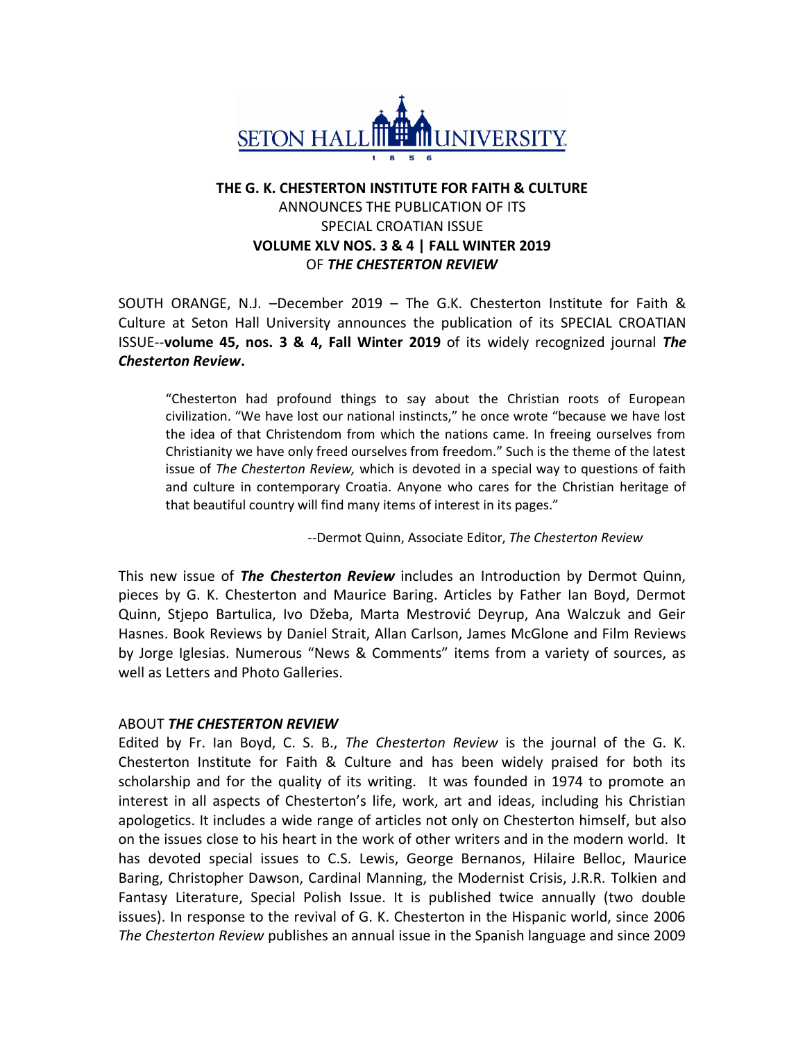

## **THE G. K. CHESTERTON INSTITUTE FOR FAITH & CULTURE**  ANNOUNCES THE PUBLICATION OF ITS SPECIAL CROATIAN ISSUE **VOLUME XLV NOS. 3 & 4 | FALL WINTER 2019** OF *THE CHESTERTON REVIEW*

SOUTH ORANGE, N.J. –December 2019 – The G.K. Chesterton Institute for Faith & Culture at Seton Hall University announces the publication of its SPECIAL CROATIAN ISSUE--**volume 45, nos. 3 & 4, Fall Winter 2019** of its widely recognized journal *The Chesterton Review***.** 

"Chesterton had profound things to say about the Christian roots of European civilization. "We have lost our national instincts," he once wrote "because we have lost the idea of that Christendom from which the nations came. In freeing ourselves from Christianity we have only freed ourselves from freedom." Such is the theme of the latest issue of *The Chesterton Review,* which is devoted in a special way to questions of faith and culture in contemporary Croatia. Anyone who cares for the Christian heritage of that beautiful country will find many items of interest in its pages."

--Dermot Quinn, Associate Editor, *The Chesterton Review*

This new issue of *The Chesterton Review* includes an Introduction by Dermot Quinn, pieces by G. K. Chesterton and Maurice Baring. Articles by Father Ian Boyd, Dermot Quinn, Stjepo Bartulica, Ivo Džeba, Marta Mestrović Deyrup, Ana Walczuk and Geir Hasnes. Book Reviews by Daniel Strait, Allan Carlson, James McGlone and Film Reviews by Jorge Iglesias. Numerous "News & Comments" items from a variety of sources, as well as Letters and Photo Galleries.

## ABOUT *THE CHESTERTON REVIEW*

Edited by Fr. Ian Boyd, C. S. B., *The Chesterton Review* is the journal of the G. K. Chesterton Institute for Faith & Culture and has been widely praised for both its scholarship and for the quality of its writing. It was founded in 1974 to promote an interest in all aspects of Chesterton's life, work, art and ideas, including his Christian apologetics. It includes a wide range of articles not only on Chesterton himself, but also on the issues close to his heart in the work of other writers and in the modern world. It has devoted special issues to C.S. Lewis, George Bernanos, Hilaire Belloc, Maurice Baring, Christopher Dawson, Cardinal Manning, the Modernist Crisis, J.R.R. Tolkien and Fantasy Literature, Special Polish Issue. It is published twice annually (two double issues). In response to the revival of G. K. Chesterton in the Hispanic world, since 2006 *The Chesterton Review* publishes an annual issue in the Spanish language and since 2009